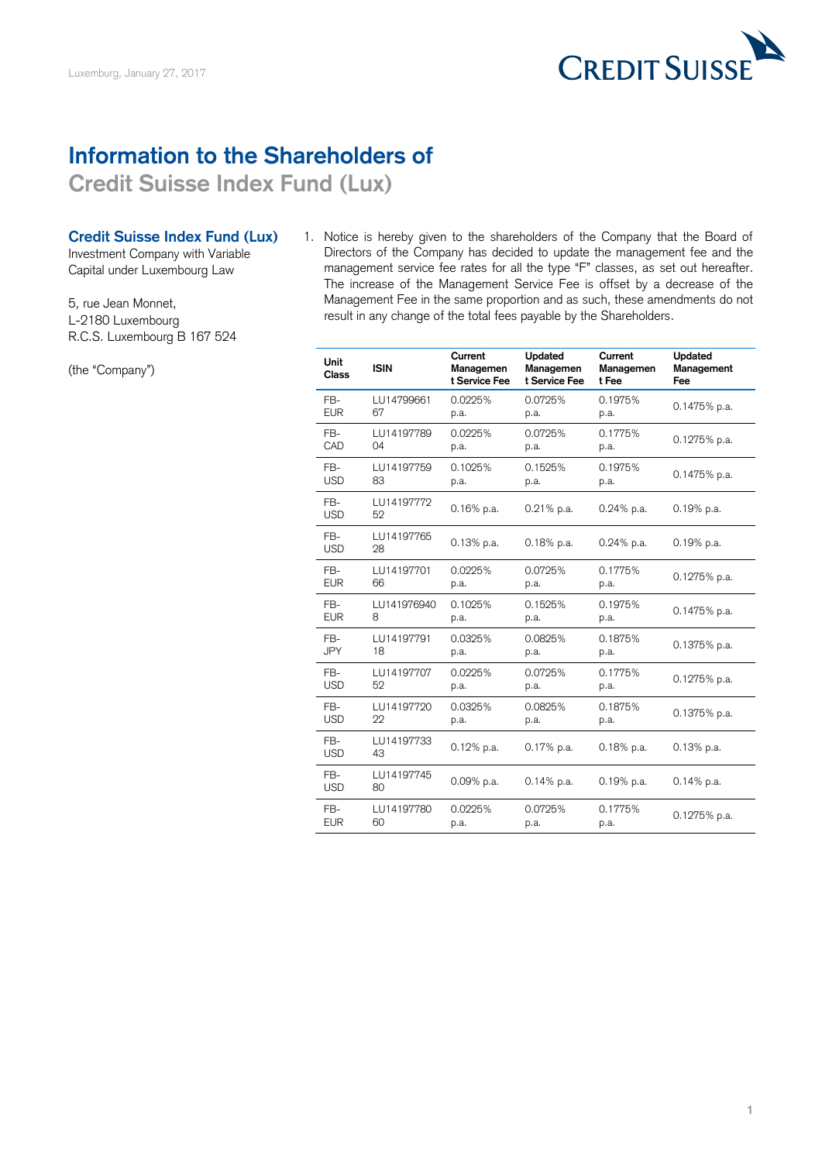

## **Information to the Shareholders of**

**Credit Suisse Index Fund (Lux)**

## **Credit Suisse Index Fund (Lux)**

Investment Company with Variable Capital under Luxembourg Law

5, rue Jean Monnet, L-2180 Luxembourg R.C.S. Luxembourg B 167 524

(the "Company")

1. Notice is hereby given to the shareholders of the Company that the Board of Directors of the Company has decided to update the management fee and the management service fee rates for all the type "F" classes, as set out hereafter. The increase of the Management Service Fee is offset by a decrease of the Management Fee in the same proportion and as such, these amendments do not result in any change of the total fees payable by the Shareholders.

| Unit<br><b>Class</b> | <b>ISIN</b>      | Current<br>Managemen<br>t Service Fee | Updated<br>Managemen<br>t Service Fee | Current<br>Managemen<br>t Fee | Updated<br>Management<br>Fee |
|----------------------|------------------|---------------------------------------|---------------------------------------|-------------------------------|------------------------------|
| FB-                  | LU14799661       | 0.0225%                               | 0.0725%                               | 0.1975%                       | 0.1475% p.a.                 |
| <b>EUR</b>           | 67               | p.a.                                  | p.a.                                  | p.a.                          |                              |
| FB-                  | LU14197789       | 0.0225%                               | 0.0725%                               | 0.1775%                       | $0.1275%$ p.a.               |
| CAD                  | 04               | p.a.                                  | p.a.                                  | p.a.                          |                              |
| FB-                  | LU14197759       | 0.1025%                               | 0.1525%                               | 0.1975%                       | 0.1475% p.a.                 |
| <b>USD</b>           | 83               | p.a.                                  | p.a.                                  | p.a.                          |                              |
| FB-<br><b>USD</b>    | LU14197772<br>52 | 0.16% p.a.                            | $0.21%$ p.a.                          | $0.24%$ p.a.                  | $0.19%$ p.a.                 |
| FB-<br><b>USD</b>    | LU14197765<br>28 | $0.13%$ p.a.                          | $0.18%$ p.a.                          | $0.24\%$ p.a.                 | $0.19%$ p.a.                 |
| FB-                  | LU14197701       | 0.0225%                               | 0.0725%                               | 0.1775%                       | 0.1275% p.a.                 |
| <b>EUR</b>           | 66               | p.a.                                  | p.a.                                  | p.a.                          |                              |
| FB-                  | LU141976940      | 0.1025%                               | 0.1525%                               | 0.1975%                       | $0.1475%$ p.a.               |
| <b>EUR</b>           | 8                | p.a.                                  | p.a.                                  | p.a.                          |                              |
| FB-                  | LU14197791       | 0.0325%                               | 0.0825%                               | 0.1875%                       | $0.1375%$ p.a.               |
| <b>JPY</b>           | 18               | p.a.                                  | p.a.                                  | p.a.                          |                              |
| FR-                  | LU14197707       | 0.0225%                               | 0.0725%                               | 0.1775%                       | 0.1275% p.a.                 |
| <b>USD</b>           | 52               | p.a.                                  | p.a.                                  | p.a.                          |                              |
| FB-                  | LU14197720       | 0.0325%                               | 0.0825%                               | 0.1875%                       | 0.1375% p.a.                 |
| <b>USD</b>           | 22               | p.a.                                  | p.a.                                  | p.a.                          |                              |
| FB-<br><b>USD</b>    | LU14197733<br>43 | $0.12\%$ p.a.                         | $0.17%$ p.a.                          | $0.18%$ p.a.                  | 0.13% p.a.                   |
| FB-<br><b>USD</b>    | LU14197745<br>80 | 0.09% p.a.                            | 0.14% p.a.                            | 0.19% p.a.                    | 0.14% p.a.                   |
| F <sub>B</sub>       | LU14197780       | 0.0225%                               | 0.0725%                               | 0.1775%                       | $0.1275%$ p.a.               |
| <b>EUR</b>           | 60               | p.a.                                  | p.a.                                  | p.a.                          |                              |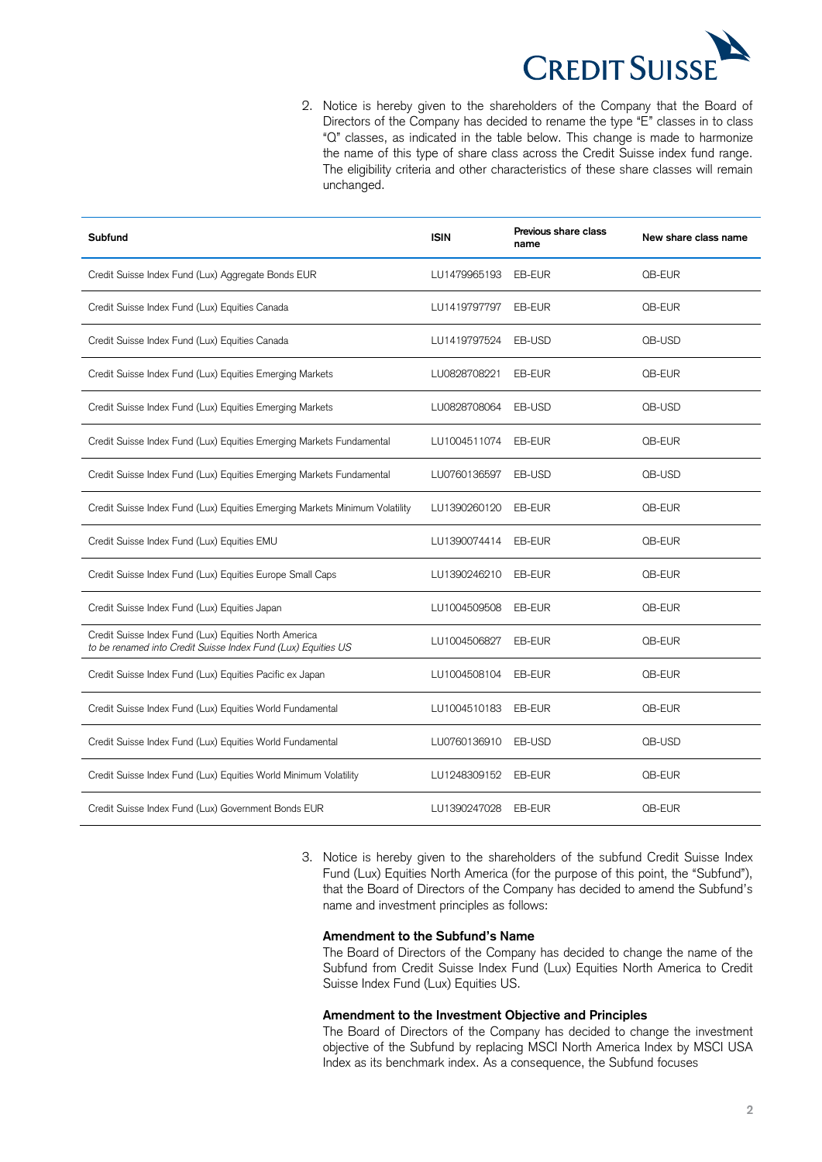

2. Notice is hereby given to the shareholders of the Company that the Board of Directors of the Company has decided to rename the type "E" classes in to class "Q" classes, as indicated in the table below. This change is made to harmonize the name of this type of share class across the Credit Suisse index fund range. The eligibility criteria and other characteristics of these share classes will remain unchanged.

| Subfund                                                                                                                | <b>ISIN</b>  | Previous share class<br>name | New share class name |
|------------------------------------------------------------------------------------------------------------------------|--------------|------------------------------|----------------------|
| Credit Suisse Index Fund (Lux) Aggregate Bonds EUR                                                                     | LU1479965193 | EB-EUR                       | QB-EUR               |
| Credit Suisse Index Fund (Lux) Equities Canada                                                                         | LU1419797797 | EB-EUR                       | QB-EUR               |
| Credit Suisse Index Fund (Lux) Equities Canada                                                                         | LU1419797524 | EB-USD                       | QB-USD               |
| Credit Suisse Index Fund (Lux) Equities Emerging Markets                                                               | LU0828708221 | EB-EUR                       | QB-EUR               |
| Credit Suisse Index Fund (Lux) Equities Emerging Markets                                                               | LU0828708064 | EB-USD                       | QB-USD               |
| Credit Suisse Index Fund (Lux) Equities Emerging Markets Fundamental                                                   | LU1004511074 | EB-EUR                       | QB-EUR               |
| Credit Suisse Index Fund (Lux) Equities Emerging Markets Fundamental                                                   | LU0760136597 | EB-USD                       | QB-USD               |
| Credit Suisse Index Fund (Lux) Equities Emerging Markets Minimum Volatility                                            | LU1390260120 | EB-EUR                       | QB-EUR               |
| Credit Suisse Index Fund (Lux) Equities EMU                                                                            | LU1390074414 | EB-EUR                       | QB-EUR               |
| Credit Suisse Index Fund (Lux) Equities Europe Small Caps                                                              | LU1390246210 | EB-EUR                       | QB-EUR               |
| Credit Suisse Index Fund (Lux) Equities Japan                                                                          | LU1004509508 | EB-EUR                       | QB-EUR               |
| Credit Suisse Index Fund (Lux) Equities North America<br>to be renamed into Credit Suisse Index Fund (Lux) Equities US | LU1004506827 | EB-EUR                       | <b>QB-EUR</b>        |
| Credit Suisse Index Fund (Lux) Equities Pacific ex Japan                                                               | LU1004508104 | EB-EUR                       | QB-EUR               |
| Credit Suisse Index Fund (Lux) Equities World Fundamental                                                              | LU1004510183 | EB-EUR                       | QB-EUR               |
| Credit Suisse Index Fund (Lux) Equities World Fundamental                                                              | LU0760136910 | EB-USD                       | QB-USD               |
| Credit Suisse Index Fund (Lux) Equities World Minimum Volatility                                                       | LU1248309152 | EB-EUR                       | QB-EUR               |
| Credit Suisse Index Fund (Lux) Government Bonds EUR                                                                    | LU1390247028 | EB-EUR                       | QB-EUR               |

3. Notice is hereby given to the shareholders of the subfund Credit Suisse Index Fund (Lux) Equities North America (for the purpose of this point, the "Subfund"), that the Board of Directors of the Company has decided to amend the Subfund's name and investment principles as follows:

## **Amendment to the Subfund's Name**

The Board of Directors of the Company has decided to change the name of the Subfund from Credit Suisse Index Fund (Lux) Equities North America to Credit Suisse Index Fund (Lux) Equities US.

## **Amendment to the Investment Objective and Principles**

The Board of Directors of the Company has decided to change the investment objective of the Subfund by replacing MSCI North America Index by MSCI USA Index as its benchmark index. As a consequence, the Subfund focuses